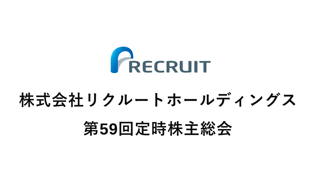

#### **株式会社リクルートホールディングス**

## **第59回定時株主総会**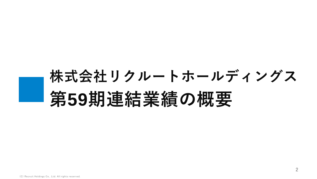## **株式会社リクルートホールディングス 第59期連結業績の概要**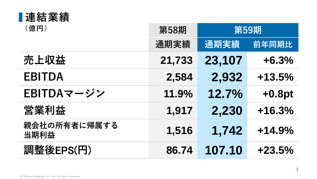| ■連結業績                |        |        |          |
|----------------------|--------|--------|----------|
| (億円)                 | 第58期   | 第59期   |          |
|                      | 通期実績   | 通期実績   | 前年同期比    |
| 売上収益                 | 21,733 | 23,107 | $+6.3%$  |
| <b>EBITDA</b>        | 2,584  | 2,932  | $+13.5%$ |
| EBITDAマージン           | 11.9%  | 12.7%  | $+0.8pt$ |
| 営業利益                 | 1,917  | 2,230  | $+16.3%$ |
| 親会社の所有者に帰属する<br>当期利益 | 1,516  | 1,742  | $+14.9%$ |
| 調整後EPS(円)            | 86.74  | 107.10 | $+23.5%$ |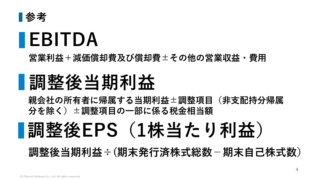

## **EBITDA**

**営業利益+減価償却費及び償却費±その他の営業収益・費用**

## **調整後当期利益**

**親会社の所有者に帰属する当期利益±調整項目(非支配持分帰属 分を除く)±調整項目の一部に係る税金相当額**

## **調整後EPS(1株当たり利益)**

**調整後当期利益÷(期末発行済株式総数**-**期末自己株式数)**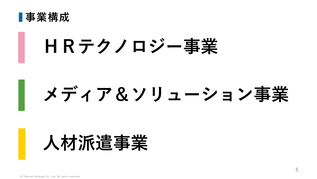

## **HRテクノロジー事業**

# **メディア&ソリューション事業**

## **人材派遣事業**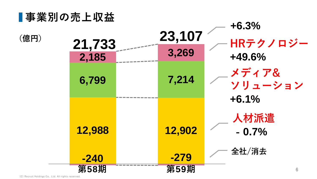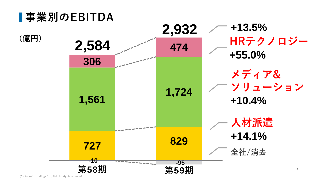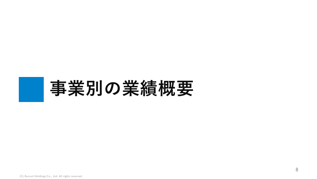## **事業別の業績概要**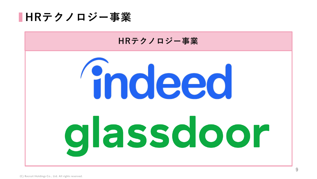

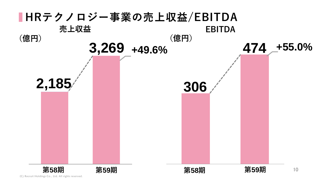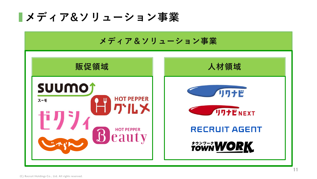**メディア&ソリューション事業**

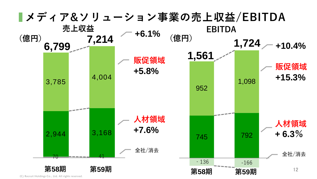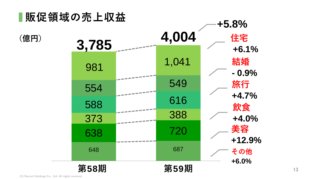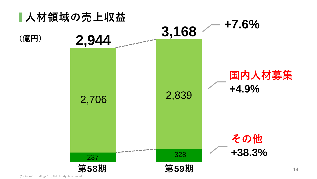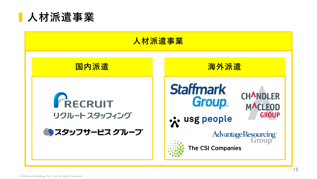

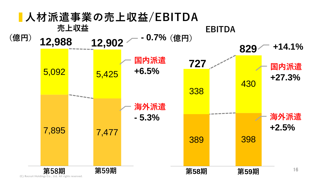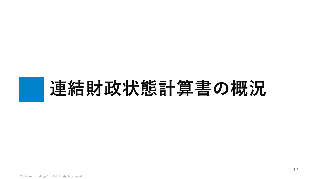# **連結財政状態計算書の概況**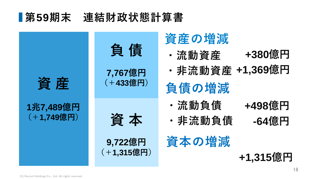#### **第59期末 連結財政状態計算書**

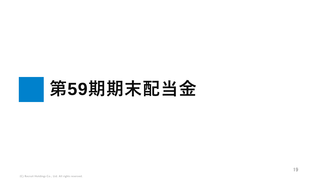# **第59期期末配当金**